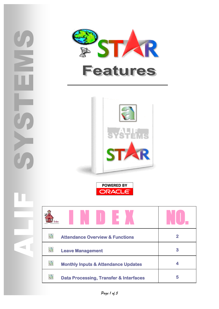





**POWERED BY** ORACLE<sup>®</sup>

| 稳<br><b>Attendance Overview &amp; Functions</b>        |   |
|--------------------------------------------------------|---|
| a<br><b>Leave Management</b>                           | 3 |
| a<br><b>Monthly Inputs &amp; Attendance Updates</b>    |   |
| a<br><b>Data Processing, Transfer &amp; Interfaces</b> | 5 |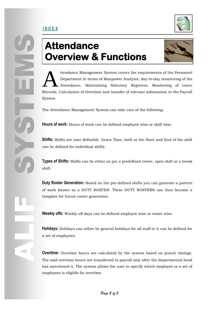

# **Attendance Overview & Functions**



ttendance Management System covers the requirements of the Personnel Department in terms of Manpower Analysis, day-to-day monitoring of the Attendance, Maintaining Statutory Registers, Monitoring of Leave Records, Calculation of Overtime and transfer of relevant information to the Payroll System. A

The Attendance Management System can take care of the following:

**Hours of work:** Hours of work can be defined employee wise or shift wise.

**Shifts:** Shifts are user definable. Grace Time, both at the Start and End of the shift can be defined for individual shifts.

**Types of Shifts:** Shifts can be either as per a predefined roster, open shift or a break shift.

**Duty Roster Generation:** Based on the pre-defined shifts you can generate a pattern of work known as a DUTY ROSTER. These DUTY ROSTERS can then become a template for future roster generation.

**Weekly offs:** Weekly off days can be defined employee wise or roster wise.

**Holidays:** Holidays can either be general holidays for all staff or it can be defined for a set of employees.

**Overtime:** Overtime hours are calculated by the system based on punch timings. The said overtime hours are transferred to payroll only after the departmental head has sanctioned it. The system allows the user to specify which employee or a set of employees is eligible for overtime.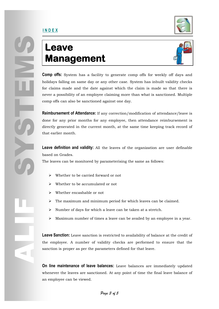#### **I N D E X**



# **Leave Management**



Comp offs: System<br>
comp offs: System<br>
holidays falling on s<br>
for claims made an<br>
never a possibility of<br>
comp offs can also b<br>
Reimbursement of At<br>
done for any prior<br>
directly generated in<br>
that earlier month.<br>
Leave defi **Comp offs:** System has a facility to generate comp offs for weekly off days and holidays falling on same day or any other case. System has inbuilt validity checks for claims made and the date against which the claim is made so that there is never a possibility of an employee claiming more than what is sanctioned. Multiple comp offs can also be sanctioned against one day.

**Reimbursement of Attendance:** If any correction/modification of attendance/leave is done for any prior months for any employee, then attendance reimbursement is directly generated in the current month, at the same time keeping track record of that earlier month.

**Leave definition and validity:** All the leaves of the organization are user definable based on Grades.

The leaves can be monitored by parameterising the same as follows:

- $\triangleright$  Whether to be carried forward or not
- $\triangleright$  Whether to be accumulated or not
- Whether encashable or not
- $\triangleright$  The maximum and minimum period for which leaves can be claimed.
- $\triangleright$  Number of days for which a leave can be taken at a stretch.
- $\triangleright$  Maximum number of times a leave can be availed by an employee in a year.

ALIF **Leave Sanction:** Leave sanction is restricted to availability of balance at the credit of the employee. A number of validity checks are performed to ensure that the sanction is proper as per the parameters defined for that leave.

> **On line maintenance of leave balances:** Leave balances are immediately updated whenever the leaves are sanctioned. At any point of time the final leave balance of an employee can be viewed.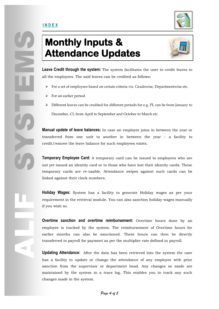

# **Monthly Inputs & Attendance Updates**



**Leave Credit through the system:** The system facilitates the user to credit leaves to all the employees. The said leaves can be credited as follows:

- $\triangleright$  For a set of employees based on certain criteria viz. Gradewise, Departmentwise etc.
- $\triangleright$  For an earlier period.
- Different leaves can be credited for different periods for e.g. PL can be from January to December, CL from April to September and October to March etc.

**Manual update of leave balances:** In case an employee joins in between the year or transferred from one unit to another in between the year – a facility to credit/remove the leave balance for such employees exists.

**Temporary Employee Card:** A temporary card can be issued to employees who are not yet issued an identity card or to those who have lost their identity cards. These temporary cards are re-usable. Attendance swipes against such cards can be linked against their clock numbers.

**Holiday Wages:** System has a facility to generate Holiday wages as per your requirement in the retrieval module. You can also sanction holiday wages manually if you wish so.

**Overtime sanction and overtime reimbursement:** Overtime hours done by an employee is tracked by the system. The reimbursement of Overtime hours for earlier months can also be sanctioned. These hours can then be directly transferred to payroll for payment as per the multiplier rate defined in payroll.

**Updating Attendance:** After the data has been retrieved into the system the user has a facility to update or change the attendance of any employee with prior sanction from the supervisor or department head. Any changes so made are maintained by the system in a trace log. This enables you to track any such changes made in the system.